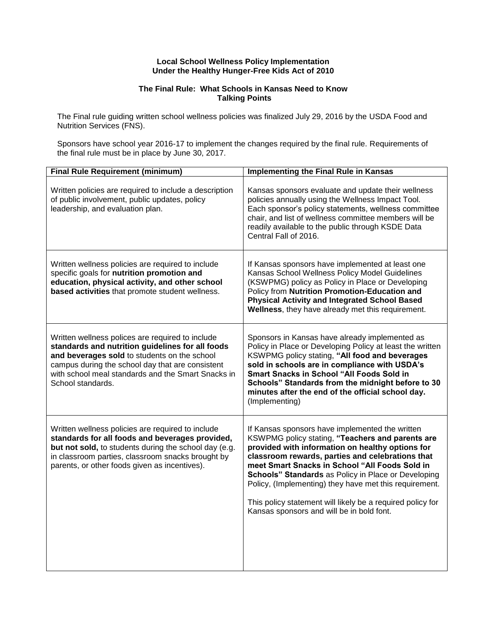## **Local School Wellness Policy Implementation Under the Healthy Hunger-Free Kids Act of 2010**

## **The Final Rule: What Schools in Kansas Need to Know Talking Points**

The Final rule guiding written school wellness policies was finalized July 29, 2016 by the USDA Food and Nutrition Services (FNS).

Sponsors have school year 2016-17 to implement the changes required by the final rule. Requirements of the final rule must be in place by June 30, 2017.

| <b>Final Rule Requirement (minimum)</b>                                                                                                                                                                                                                                             | <b>Implementing the Final Rule in Kansas</b>                                                                                                                                                                                                                                                                                                                                                                                                                                              |
|-------------------------------------------------------------------------------------------------------------------------------------------------------------------------------------------------------------------------------------------------------------------------------------|-------------------------------------------------------------------------------------------------------------------------------------------------------------------------------------------------------------------------------------------------------------------------------------------------------------------------------------------------------------------------------------------------------------------------------------------------------------------------------------------|
| Written policies are required to include a description<br>of public involvement, public updates, policy<br>leadership, and evaluation plan.                                                                                                                                         | Kansas sponsors evaluate and update their wellness<br>policies annually using the Wellness Impact Tool.<br>Each sponsor's policy statements, wellness committee<br>chair, and list of wellness committee members will be<br>readily available to the public through KSDE Data<br>Central Fall of 2016.                                                                                                                                                                                    |
| Written wellness policies are required to include<br>specific goals for nutrition promotion and<br>education, physical activity, and other school<br>based activities that promote student wellness.                                                                                | If Kansas sponsors have implemented at least one<br>Kansas School Wellness Policy Model Guidelines<br>(KSWPMG) policy as Policy in Place or Developing<br>Policy from Nutrition Promotion-Education and<br><b>Physical Activity and Integrated School Based</b><br>Wellness, they have already met this requirement.                                                                                                                                                                      |
| Written wellness polices are required to include<br>standards and nutrition guidelines for all foods<br>and beverages sold to students on the school<br>campus during the school day that are consistent<br>with school meal standards and the Smart Snacks in<br>School standards. | Sponsors in Kansas have already implemented as<br>Policy in Place or Developing Policy at least the written<br>KSWPMG policy stating, "All food and beverages<br>sold in schools are in compliance with USDA's<br><b>Smart Snacks in School "All Foods Sold in</b><br>Schools" Standards from the midnight before to 30<br>minutes after the end of the official school day.<br>(Implementing)                                                                                            |
| Written wellness policies are required to include<br>standards for all foods and beverages provided,<br>but not sold, to students during the school day (e.g.<br>in classroom parties, classroom snacks brought by<br>parents, or other foods given as incentives).                 | If Kansas sponsors have implemented the written<br>KSWPMG policy stating, "Teachers and parents are<br>provided with information on healthy options for<br>classroom rewards, parties and celebrations that<br>meet Smart Snacks in School "All Foods Sold in<br>Schools" Standards as Policy in Place or Developing<br>Policy, (Implementing) they have met this requirement.<br>This policy statement will likely be a required policy for<br>Kansas sponsors and will be in bold font. |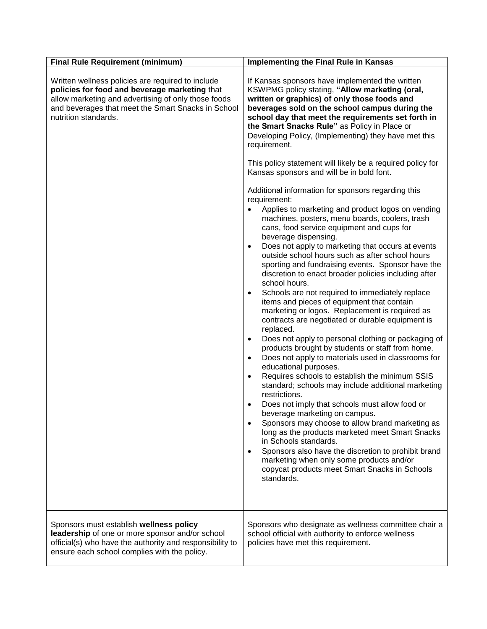| <b>Final Rule Requirement (minimum)</b>                                                                                                                                                                                                 | <b>Implementing the Final Rule in Kansas</b>                                                                                                                                                                                                                                                                                                                                                                                                                                                                                                                                                                                                                                                                                                                                                                                                                                                                                                                                                                                                                      |
|-----------------------------------------------------------------------------------------------------------------------------------------------------------------------------------------------------------------------------------------|-------------------------------------------------------------------------------------------------------------------------------------------------------------------------------------------------------------------------------------------------------------------------------------------------------------------------------------------------------------------------------------------------------------------------------------------------------------------------------------------------------------------------------------------------------------------------------------------------------------------------------------------------------------------------------------------------------------------------------------------------------------------------------------------------------------------------------------------------------------------------------------------------------------------------------------------------------------------------------------------------------------------------------------------------------------------|
| Written wellness policies are required to include<br>policies for food and beverage marketing that<br>allow marketing and advertising of only those foods<br>and beverages that meet the Smart Snacks in School<br>nutrition standards. | If Kansas sponsors have implemented the written<br>KSWPMG policy stating, "Allow marketing (oral,<br>written or graphics) of only those foods and<br>beverages sold on the school campus during the<br>school day that meet the requirements set forth in<br>the Smart Snacks Rule" as Policy in Place or<br>Developing Policy, (Implementing) they have met this<br>requirement.<br>This policy statement will likely be a required policy for<br>Kansas sponsors and will be in bold font.<br>Additional information for sponsors regarding this<br>requirement:<br>Applies to marketing and product logos on vending<br>machines, posters, menu boards, coolers, trash<br>cans, food service equipment and cups for<br>beverage dispensing.<br>Does not apply to marketing that occurs at events<br>$\bullet$<br>outside school hours such as after school hours<br>sporting and fundraising events. Sponsor have the<br>discretion to enact broader policies including after<br>school hours.<br>Schools are not required to immediately replace<br>$\bullet$ |
|                                                                                                                                                                                                                                         | items and pieces of equipment that contain<br>marketing or logos. Replacement is required as<br>contracts are negotiated or durable equipment is<br>replaced.<br>Does not apply to personal clothing or packaging of<br>$\bullet$<br>products brought by students or staff from home.<br>Does not apply to materials used in classrooms for<br>$\bullet$<br>educational purposes.<br>Requires schools to establish the minimum SSIS<br>standard; schools may include additional marketing<br>restrictions.<br>Does not imply that schools must allow food or<br>beverage marketing on campus.<br>Sponsors may choose to allow brand marketing as<br>long as the products marketed meet Smart Snacks<br>in Schools standards.<br>Sponsors also have the discretion to prohibit brand<br>marketing when only some products and/or<br>copycat products meet Smart Snacks in Schools<br>standards.                                                                                                                                                                    |
| Sponsors must establish wellness policy<br>leadership of one or more sponsor and/or school<br>official(s) who have the authority and responsibility to<br>ensure each school complies with the policy.                                  | Sponsors who designate as wellness committee chair a<br>school official with authority to enforce wellness<br>policies have met this requirement.                                                                                                                                                                                                                                                                                                                                                                                                                                                                                                                                                                                                                                                                                                                                                                                                                                                                                                                 |